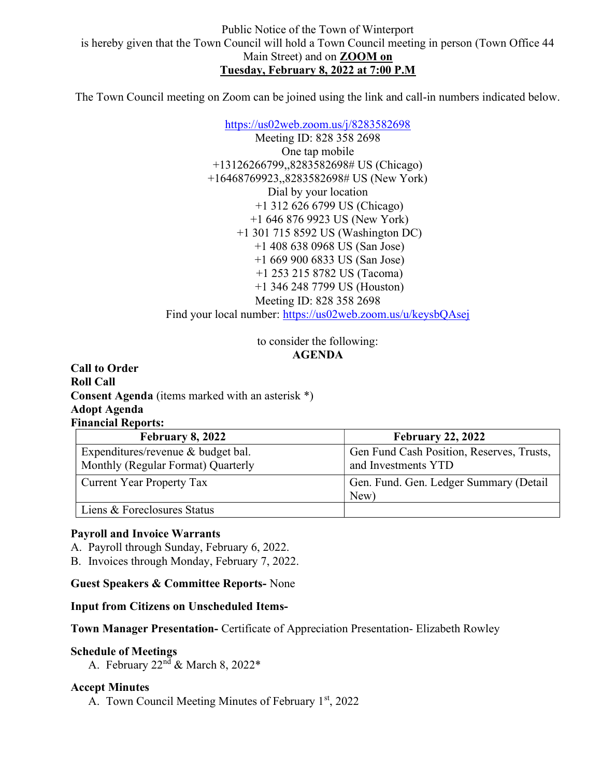The Town Council meeting on Zoom can be joined using the link and call-in numbers indicated below.

https://us02web.zoom.us/j/8283582698 Meeting ID: 828 358 2698 One tap mobile +13126266799,,8283582698# US (Chicago) +16468769923,,8283582698# US (New York) Dial by your location +1 312 626 6799 US (Chicago) +1 646 876 9923 US (New York) +1 301 715 8592 US (Washington DC) +1 408 638 0968 US (San Jose) +1 669 900 6833 US (San Jose) +1 253 215 8782 US (Tacoma) +1 346 248 7799 US (Houston) Meeting ID: 828 358 2698 Find your local number: https://us02web.zoom.us/u/keysbQAsej

> to consider the following: AGENDA

Call to Order Roll Call Consent Agenda (items marked with an asterisk \*) Adopt Agenda Financial Reports:

| <b>February 8, 2022</b>                                                  | <b>February 22, 2022</b>                                         |
|--------------------------------------------------------------------------|------------------------------------------------------------------|
| Expenditures/revenue & budget bal.<br>Monthly (Regular Format) Quarterly | Gen Fund Cash Position, Reserves, Trusts,<br>and Investments YTD |
| <b>Current Year Property Tax</b>                                         | Gen. Fund. Gen. Ledger Summary (Detail<br>New)                   |
| Liens & Foreclosures Status                                              |                                                                  |

#### Payroll and Invoice Warrants

A. Payroll through Sunday, February 6, 2022.

B. Invoices through Monday, February 7, 2022.

Guest Speakers & Committee Reports- None

Input from Citizens on Unscheduled Items-

Town Manager Presentation- Certificate of Appreciation Presentation- Elizabeth Rowley

#### Schedule of Meetings

A. February  $22<sup>nd</sup>$  & March 8,  $2022*$ 

#### Accept Minutes

A. Town Council Meeting Minutes of February  $1<sup>st</sup>$ , 2022